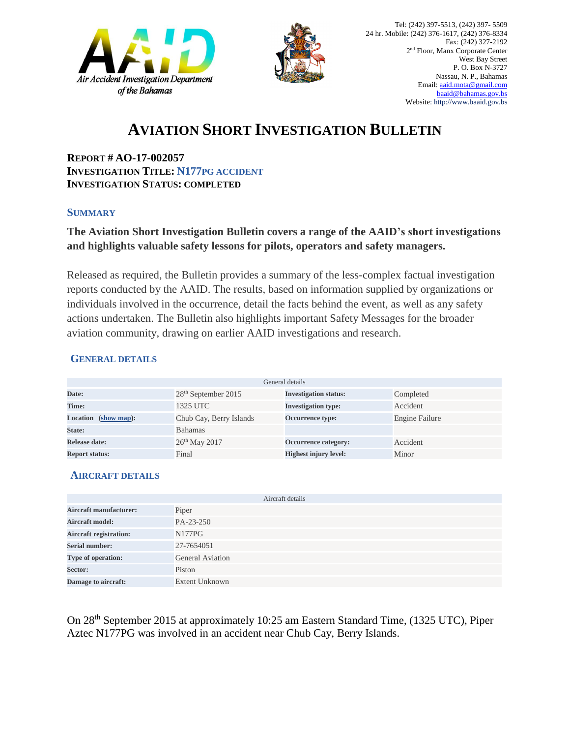



## **AVIATION SHORT INVESTIGATION BULLETIN**

**REPORT # AO-17-002057 INVESTIGATION TITLE: N177PG ACCIDENT INVESTIGATION STATUS: COMPLETED**

#### **SUMMARY**

### **The Aviation Short Investigation Bulletin covers a range of the AAID's short investigations and highlights valuable safety lessons for pilots, operators and safety managers.**

Released as required, the Bulletin provides a summary of the less-complex factual investigation reports conducted by the AAID. The results, based on information supplied by organizations or individuals involved in the occurrence, detail the facts behind the event, as well as any safety actions undertaken. The Bulletin also highlights important Safety Messages for the broader aviation community, drawing on earlier AAID investigations and research.

#### **GENERAL DETAILS**

| General details       |                                 |                              |                |
|-----------------------|---------------------------------|------------------------------|----------------|
| Date:                 | 28 <sup>th</sup> September 2015 | <b>Investigation status:</b> | Completed      |
| Time:                 | 1325 UTC                        | <b>Investigation type:</b>   | Accident       |
| Location (show map):  | Chub Cay, Berry Islands         | <b>Occurrence type:</b>      | Engine Failure |
| State:                | <b>Bahamas</b>                  |                              |                |
| Release date:         | $26th$ May 2017                 | Occurrence category:         | Accident       |
| <b>Report status:</b> | Final                           | <b>Highest injury level:</b> | Minor          |

#### **AIRCRAFT DETAILS**

|                               | Aircraft details        |
|-------------------------------|-------------------------|
| <b>Aircraft manufacturer:</b> | Piper                   |
| <b>Aircraft model:</b>        | PA-23-250               |
| <b>Aircraft registration:</b> | N <sub>177</sub> PG     |
| <b>Serial number:</b>         | 27-7654051              |
| Type of operation:            | <b>General Aviation</b> |
| Sector:                       | Piston                  |
| Damage to aircraft:           | <b>Extent Unknown</b>   |

On 28th September 2015 at approximately 10:25 am Eastern Standard Time, (1325 UTC), Piper Aztec N177PG was involved in an accident near Chub Cay, Berry Islands.